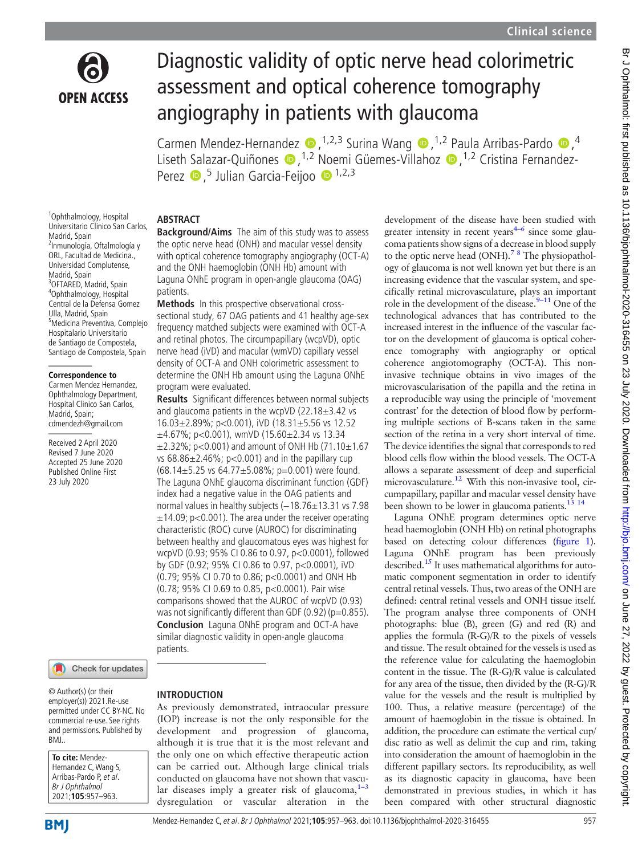

# Diagnostic validity of optic nerve head colorimetric assessment and optical coherence tomography angiography in patients with glaucoma

Carmen Mendez-Hernandez  $\bullet$ , <sup>1,2,3</sup> Surina Wang  $\bullet$ , <sup>1,2</sup> Paula Arribas-Pardo  $\bullet$ ,<sup>4</sup> Liseth Salazar-Quiñones (D, <sup>[1,2](http://orcid.org/0000-0003-3413-5248)</sup> Noemi Güemes-Villahoz (D, <sup>1,2</sup> Cristina Fernandez-Perez D,<sup>5</sup> Julian Garcia-Feijoo D <sup>1,2,3</sup>

# ABSTRACT

1 Ophthalmology, Hospital Universitario Clinico San Carlos, Madrid, Spain 2 Inmunología, Oftalmología y ORL, Facultad de Medicina., Universidad Complutense, Madrid, Spain <sup>3</sup>OFTARED, Madrid, Spain 4 Ophthalmology, Hospital Central de la Defensa Gomez Ulla, Madrid, Spain 5 Medicina Preventiva, Complejo Hospitalario Universitario de Santiago de Compostela, Santiago de Compostela, Spain

#### **Correspondence to**

Carmen Mendez Hernandez, Ophthalmology Department, Hospital Clinico San Carlos, Madrid, Spain; [cdmendezh@gmail.com](mailto:cdmendezh@gmail.com)

Received 2 April 2020 Revised 7 June 2020 Accepted 25 June 2020 Published Online First 23 July 2020



© Author(s) (or their employer(s)) 2021.Re-use permitted under CC BY-NC. No commercial re-use. See rights and permissions. Published by BMJ..

| To cite: Mendez-        |
|-------------------------|
| Hernandez C, Wang S,    |
| Arribas-Pardo P, et al. |
| Br J Ophthalmol         |
| 2021;105:957-963.       |

# **Background/Aims** The aim of this study was to assess the optic nerve head (ONH) and macular vessel density with optical coherence tomography angiography (OCT-A) and the ONH haemoglobin (ONH Hb) amount with

patients. Methods In this prospective observational crosssectional study, 67 OAG patients and 41 healthy age-sex frequency matched subjects were examined with OCT-A and retinal photos. The circumpapillary (wcpVD), optic nerve head (iVD) and macular (wmVD) capillary vessel density of OCT-A and ONH colorimetric assessment to determine the ONH Hb amount using the Laguna ONhE program were evaluated.

Laguna ONhE program in open-angle glaucoma (OAG)

Results Significant differences between normal subjects and glaucoma patients in the wcpVD  $(22.18 \pm 3.42 \text{ vs } 10^{-10})$ 16.03±2.89%; p<0.001), iVD (18.31±5.56 vs 12.52  $\pm$ 4.67%; p<0.001), wmVD (15.60 $\pm$ 2.34 vs 13.34  $\pm$ 2.32%; p<0.001) and amount of ONH Hb (71.10 $\pm$ 1.67 vs  $68.86\pm2.46\%$ ; p<0.001) and in the papillary cup (68.14 $\pm$ 5.25 vs 64.77 $\pm$ 5.08%; p=0.001) were found. The Laguna ONhE glaucoma discriminant function (GDF) index had a negative value in the OAG patients and normal values in healthy subjects (-18.76±13.31 vs 7.98  $\pm$ 14.09; p<0.001). The area under the receiver operating characteristic (ROC) curve (AUROC) for discriminating between healthy and glaucomatous eyes was highest for wcpVD (0.93; 95% CI 0.86 to 0.97, p<0.0001), followed by GDF (0.92; 95% CI 0.86 to 0.97, p<0.0001), iVD (0.79; 95% CI 0.70 to 0.86; p<0.0001) and ONH Hb (0.78; 95% CI 0.69 to 0.85, p<0.0001). Pair wise comparisons showed that the AUROC of wcpVD (0.93) was not significantly different than GDF (0.92) ( $p=0.855$ ). Conclusion Laguna ONhE program and OCT-A have similar diagnostic validity in open-angle glaucoma patients.

#### INTRODUCTION

As previously demonstrated, intraocular pressure (IOP) increase is not the only responsible for the development and progression of glaucoma, although it is true that it is the most relevant and the only one on which effective therapeutic action can be carried out. Although large clinical trials conducted on glaucoma have not shown that vascular diseases imply a greater risk of glaucoma, $1-3$ dysregulation or vascular alteration in the development of the disease have been studied with greater intensity in recent years $4-6$  since some glaucoma patients show signs of a decrease in blood supply to the optic nerve head  $(ONH)$ .<sup>7</sup> <sup>8</sup> The physiopathology of glaucoma is not well known yet but there is an increasing evidence that the vascular system, and specifically retinal microvasculature, plays an important role in the development of the disease. $9-11$  One of the technological advances that has contributed to the increased interest in the influence of the vascular factor on the development of glaucoma is optical coherence tomography with angiography or optical coherence angiotomography (OCT-A). This noninvasive technique obtains in vivo images of the microvascularisation of the papilla and the retina in a reproducible way using the principle of 'movement contrast' for the detection of blood flow by performing multiple sections of B-scans taken in the same section of the retina in a very short interval of time. The device identifies the signal that corresponds to red blood cells flow within the blood vessels. The OCT-A allows a separate assessment of deep and superficial microvasculature.12 With this non-invasive tool, circumpapillary, papillar and macular vessel density have been shown to be lower in glaucoma patients.<sup>13</sup> <sup>14</sup>

Laguna ONhE program determines optic nerve head haemoglobin (ONH Hb) on retinal photographs based on detecting colour differences (figure 1). Laguna ONhE program has been previously described.<sup>15</sup> It uses mathematical algorithms for automatic component segmentation in order to identify central retinal vessels. Thus, two areas of the ONH are defined: central retinal vessels and ONH tissue itself. The program analyse three components of ONH photographs: blue (B), green (G) and red (R) and applies the formula (R-G)/R to the pixels of vessels and tissue. The result obtained for the vessels is used as the reference value for calculating the haemoglobin content in the tissue. The (R-G)/R value is calculated for any area of the tissue, then divided by the (R-G)/R value for the vessels and the result is multiplied by 100. Thus, a relative measure (percentage) of the amount of haemoglobin in the tissue is obtained. In addition, the procedure can estimate the vertical cup/ disc ratio as well as delimit the cup and rim, taking into consideration the amount of haemoglobin in the different papillary sectors. Its reproducibility, as well as its diagnostic capacity in glaucoma, have been demonstrated in previous studies, in which it has been compared with other structural diagnostic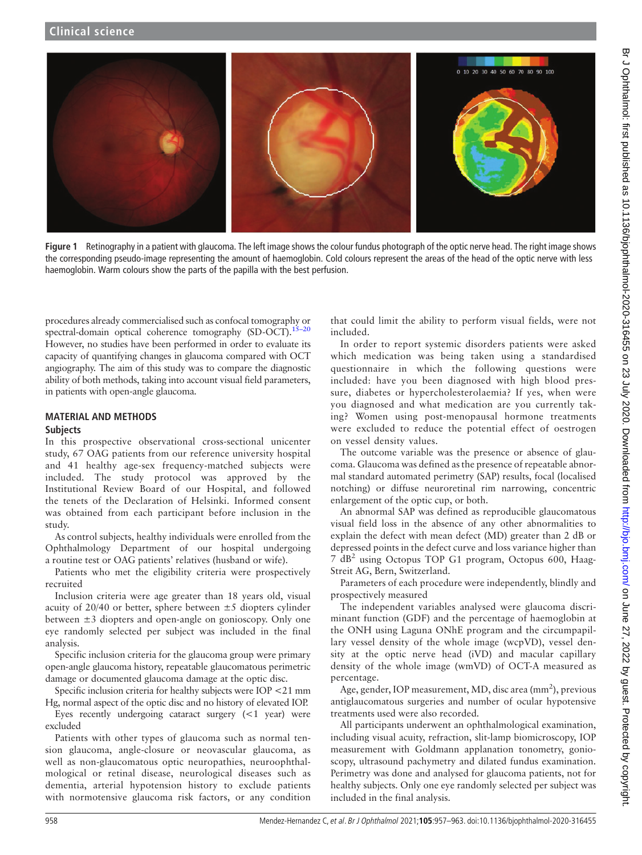

Figure 1 Retinography in a patient with glaucoma. The left image shows the colour fundus photograph of the optic nerve head. The right image shows the corresponding pseudo-image representing the amount of haemoglobin. Cold colours represent the areas of the head of the optic nerve with less haemoglobin. Warm colours show the parts of the papilla with the best perfusion.

procedures already commercialised such as confocal tomography or spectral-domain optical coherence tomography  $(SD-OCT)$ .<sup>15–20</sup> However, no studies have been performed in order to evaluate its capacity of quantifying changes in glaucoma compared with OCT angiography. The aim of this study was to compare the diagnostic ability of both methods, taking into account visual field parameters, in patients with open-angle glaucoma.

# MATERIAL AND METHODS

## **Subjects**

In this prospective observational cross-sectional unicenter study, 67 OAG patients from our reference university hospital and 41 healthy age-sex frequency-matched subjects were included. The study protocol was approved by the Institutional Review Board of our Hospital, and followed the tenets of the Declaration of Helsinki. Informed consent was obtained from each participant before inclusion in the study.

As control subjects, healthy individuals were enrolled from the Ophthalmology Department of our hospital undergoing a routine test or OAG patients' relatives (husband or wife).

Patients who met the eligibility criteria were prospectively recruited

Inclusion criteria were age greater than 18 years old, visual acuity of 20/40 or better, sphere between  $\pm 5$  diopters cylinder between ±3 diopters and open-angle on gonioscopy. Only one eye randomly selected per subject was included in the final analysis.

Specific inclusion criteria for the glaucoma group were primary open-angle glaucoma history, repeatable glaucomatous perimetric damage or documented glaucoma damage at the optic disc.

Specific inclusion criteria for healthy subjects were IOP <21 mm Hg, normal aspect of the optic disc and no history of elevated IOP.

Eyes recently undergoing cataract surgery (<1 year) were excluded

Patients with other types of glaucoma such as normal tension glaucoma, angle-closure or neovascular glaucoma, as well as non-glaucomatous optic neuropathies, neuroophthalmological or retinal disease, neurological diseases such as dementia, arterial hypotension history to exclude patients with normotensive glaucoma risk factors, or any condition

that could limit the ability to perform visual fields, were not included.

In order to report systemic disorders patients were asked which medication was being taken using a standardised questionnaire in which the following questions were included: have you been diagnosed with high blood pressure, diabetes or hypercholesterolaemia? If yes, when were you diagnosed and what medication are you currently taking? Women using post-menopausal hormone treatments were excluded to reduce the potential effect of oestrogen on vessel density values.

The outcome variable was the presence or absence of glaucoma. Glaucoma was defined as the presence of repeatable abnormal standard automated perimetry (SAP) results, focal (localised notching) or diffuse neuroretinal rim narrowing, concentric enlargement of the optic cup, or both.

An abnormal SAP was defined as reproducible glaucomatous visual field loss in the absence of any other abnormalities to explain the defect with mean defect (MD) greater than 2 dB or depressed points in the defect curve and loss variance higher than 7 dB<sup>2</sup> using Octopus TOP G1 program, Octopus 600, Haag-Streit AG, Bern, Switzerland.

Parameters of each procedure were independently, blindly and prospectively measured

The independent variables analysed were glaucoma discriminant function (GDF) and the percentage of haemoglobin at the ONH using Laguna ONhE program and the circumpapillary vessel density of the whole image (wcpVD), vessel density at the optic nerve head (iVD) and macular capillary density of the whole image (wmVD) of OCT-A measured as percentage.

Age, gender, IOP measurement, MD, disc area (mm<sup>2</sup>), previous antiglaucomatous surgeries and number of ocular hypotensive treatments used were also recorded.

All participants underwent an ophthalmological examination, including visual acuity, refraction, slit-lamp biomicroscopy, IOP measurement with Goldmann applanation tonometry, gonioscopy, ultrasound pachymetry and dilated fundus examination. Perimetry was done and analysed for glaucoma patients, not for healthy subjects. Only one eye randomly selected per subject was included in the final analysis.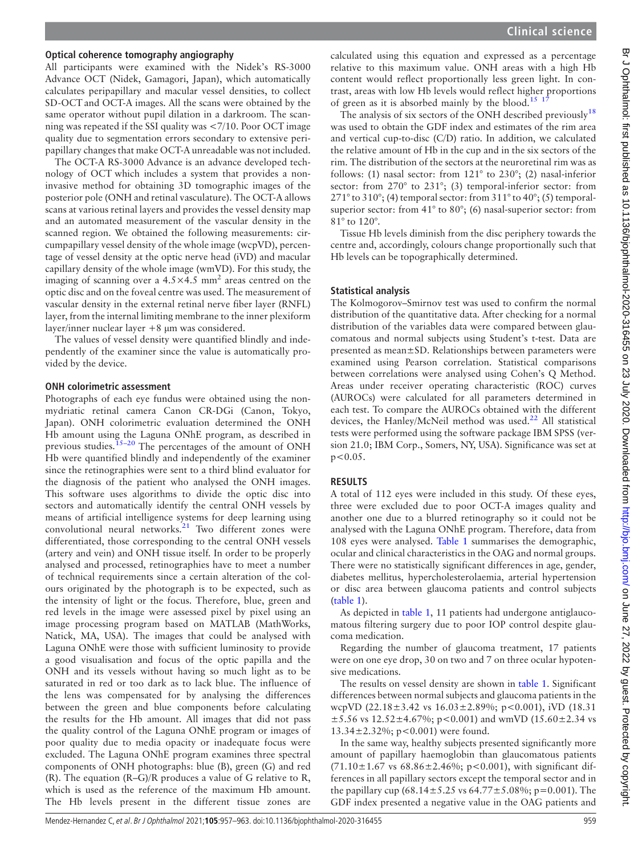## Optical coherence tomography angiography

All participants were examined with the Nidek's RS-3000 Advance OCT (Nidek, Gamagori, Japan), which automatically calculates peripapillary and macular vessel densities, to collect SD-OCT and OCT-A images. All the scans were obtained by the same operator without pupil dilation in a darkroom. The scanning was repeated if the SSI quality was <7/10. Poor OCT image quality due to segmentation errors secondary to extensive peripapillary changes that make OCT-A unreadable was not included.

The OCT-A RS-3000 Advance is an advance developed technology of OCT which includes a system that provides a noninvasive method for obtaining 3D tomographic images of the posterior pole (ONH and retinal vasculature). The OCT-A allows scans at various retinal layers and provides the vessel density map and an automated measurement of the vascular density in the scanned region. We obtained the following measurements: circumpapillary vessel density of the whole image (wcpVD), percentage of vessel density at the optic nerve head (iVD) and macular capillary density of the whole image (wmVD). For this study, the imaging of scanning over a  $4.5 \times 4.5$  mm<sup>2</sup> areas centred on the optic disc and on the foveal centre was used. The measurement of vascular density in the external retinal nerve fiber layer (RNFL) layer, from the internal limiting membrane to the inner plexiform layer/inner nuclear layer +8 μm was considered.

The values of vessel density were quantified blindly and independently of the examiner since the value is automatically provided by the device.

### ONH colorimetric assessment

Photographs of each eye fundus were obtained using the nonmydriatic retinal camera Canon CR-DGi (Canon, Tokyo, Japan). ONH colorimetric evaluation determined the ONH Hb amount using the Laguna ONhE program, as described in previous studies.<sup>15-20</sup> The percentages of the amount of ONH Hb were quantified blindly and independently of the examiner since the retinographies were sent to a third blind evaluator for the diagnosis of the patient who analysed the ONH images. This software uses algorithms to divide the optic disc into sectors and automatically identify the central ONH vessels by means of artificial intelligence systems for deep learning using convolutional neural networks. $21$  Two different zones were differentiated, those corresponding to the central ONH vessels (artery and vein) and ONH tissue itself. In order to be properly analysed and processed, retinographies have to meet a number of technical requirements since a certain alteration of the colours originated by the photograph is to be expected, such as the intensity of light or the focus. Therefore, blue, green and red levels in the image were assessed pixel by pixel using an image processing program based on MATLAB (MathWorks, Natick, MA, USA). The images that could be analysed with Laguna ONhE were those with sufficient luminosity to provide a good visualisation and focus of the optic papilla and the ONH and its vessels without having so much light as to be saturated in red or too dark as to lack blue. The influence of the lens was compensated for by analysing the differences between the green and blue components before calculating the results for the Hb amount. All images that did not pass the quality control of the Laguna ONhE program or images of poor quality due to media opacity or inadequate focus were excluded. The Laguna ONhE program examines three spectral components of ONH photographs: blue (B), green (G) and red (R). The equation (R–G)/R produces a value of G relative to R, which is used as the reference of the maximum Hb amount. The Hb levels present in the different tissue zones are

calculated using this equation and expressed as a percentage relative to this maximum value. ONH areas with a high Hb content would reflect proportionally less green light. In contrast, areas with low Hb levels would reflect higher proportions of green as it is absorbed mainly by the blood.<sup>15</sup> <sup>1</sup>

The analysis of six sectors of the ONH described previously<sup>18</sup> was used to obtain the GDF index and estimates of the rim area and vertical cup-to-disc (C/D) ratio. In addition, we calculated the relative amount of Hb in the cup and in the six sectors of the rim. The distribution of the sectors at the neuroretinal rim was as follows: (1) nasal sector: from 121° to 230°; (2) nasal-inferior sector: from 270° to 231°; (3) temporal-inferior sector: from  $271^{\circ}$  to  $310^{\circ}$ ; (4) temporal sector: from  $311^{\circ}$  to  $40^{\circ}$ ; (5) temporalsuperior sector: from 41° to 80°; (6) nasal-superior sector: from 81° to 120°.

Tissue Hb levels diminish from the disc periphery towards the centre and, accordingly, colours change proportionally such that Hb levels can be topographically determined.

# Statistical analysis

The Kolmogorov–Smirnov test was used to confirm the normal distribution of the quantitative data. After checking for a normal distribution of the variables data were compared between glaucomatous and normal subjects using Student's t-test. Data are presented as mean±SD. Relationships between parameters were examined using Pearson correlation. Statistical comparisons between correlations were analysed using Cohen's Q Method. Areas under receiver operating characteristic (ROC) curves (AUROCs) were calculated for all parameters determined in each test. To compare the AUROCs obtained with the different devices, the Hanley/McNeil method was used.<sup>22</sup> All statistical tests were performed using the software package IBM SPSS (version 21.0; IBM Corp., Somers, NY, USA). Significance was set at  $p < 0.05$ .

# RESULTS

A total of 112 eyes were included in this study. Of these eyes, three were excluded due to poor OCT-A images quality and another one due to a blurred retinography so it could not be analysed with the Laguna ONhE program. Therefore, data from 108 eyes were analysed. Table 1 summarises the demographic, ocular and clinical characteristics in the OAG and normal groups. There were no statistically significant differences in age, gender, diabetes mellitus, hypercholesterolaemia, arterial hypertension or disc area between glaucoma patients and control subjects (table 1).

As depicted in table 1, 11 patients had undergone antiglaucomatous filtering surgery due to poor IOP control despite glaucoma medication.

Regarding the number of glaucoma treatment, 17 patients were on one eye drop, 30 on two and 7 on three ocular hypotensive medications.

The results on vessel density are shown in table 1. Significant differences between normal subjects and glaucoma patients in the wcpVD (22.18 $\pm$ 3.42 vs 16.03 $\pm$ 2.89%; p<0.001), iVD (18.31  $\pm$ 5.56 vs 12.52 $\pm$ 4.67%; p<0.001) and wmVD (15.60 $\pm$ 2.34 vs  $13.34 \pm 2.32\%$ ; p<0.001) were found.

In the same way, healthy subjects presented significantly more amount of papillary haemoglobin than glaucomatous patients  $(71.10 \pm 1.67 \text{ vs } 68.86 \pm 2.46\%; \text{ p} < 0.001)$ , with significant differences in all papillary sectors except the temporal sector and in the papillary cup (68.14 $\pm$ 5.25 vs 64.77 $\pm$ 5.08%; p=0.001). The GDF index presented a negative value in the OAG patients and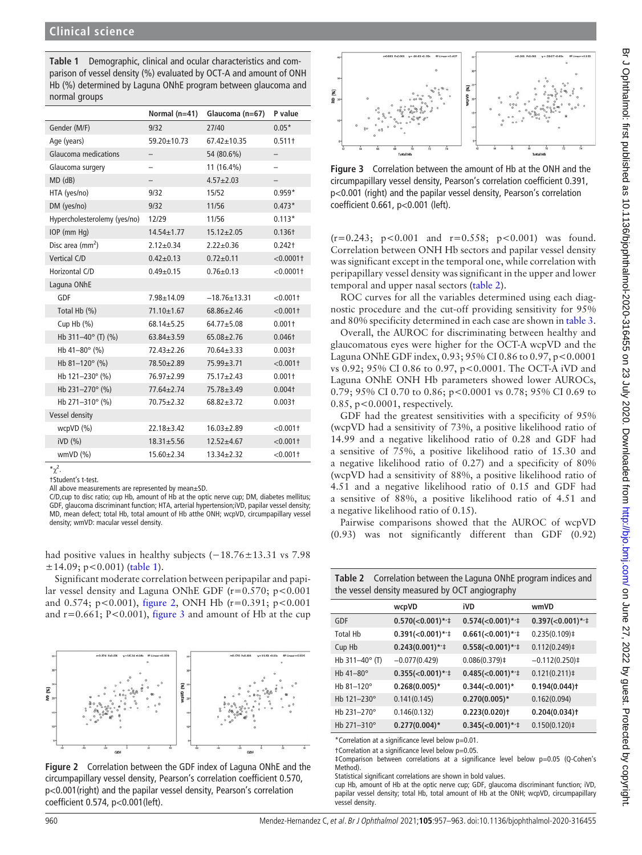Table 1 Demographic, clinical and ocular characteristics and comparison of vessel density (%) evaluated by OCT-A and amount of ONH Hb (%) determined by Laguna ONhE program between glaucoma and normal groups

|                              | Normal $(n=41)$   | Glaucoma (n=67)    | P value                  |
|------------------------------|-------------------|--------------------|--------------------------|
| Gender (M/F)                 | 9/32              | 27/40              | $0.05*$                  |
| Age (years)                  | 59.20±10.73       | $67.42 \pm 10.35$  | 0.511 <sup>†</sup>       |
| <b>Glaucoma medications</b>  | $\qquad \qquad -$ | 54 (80.6%)         | $\overline{\phantom{0}}$ |
| Glaucoma surgery             |                   | 11 (16.4%)         |                          |
| $MD$ ( $dB$ )                | $\qquad \qquad -$ | $4.57 \pm 2.03$    | $\overline{\phantom{0}}$ |
| HTA (yes/no)                 | 9/32              | 15/52              | $0.959*$                 |
| DM (yes/no)                  | 9/32              | 11/56              | $0.473*$                 |
| Hypercholesterolemy (yes/no) | 12/29             | 11/56              | $0.113*$                 |
| IOP (mm Hq)                  | $14.54 \pm 1.77$  | $15.12 \pm 2.05$   | 0.136 <sup>†</sup>       |
| Disc area $\text{(mm}^2)$    | $2.12 \pm 0.34$   | $2.22 \pm 0.36$    | $0.242+$                 |
| Vertical C/D                 | $0.42 \pm 0.13$   | $0.72 \pm 0.11$    | $< 0.0001$ †             |
| Horizontal C/D               | $0.49 + 0.15$     | $0.76 \pm 0.13$    | $< 0.0001$ †             |
| Laguna ONhE                  |                   |                    |                          |
| GDF                          | $7.98 + 14.09$    | $-18.76 \pm 13.31$ | < 0.0011                 |
| Total Hb (%)                 | $71.10 \pm 1.67$  | $68.86 \pm 2.46$   | $< 0.001$ †              |
| Cup Hb $(\%)$                | $68.14 \pm 5.25$  | $64.77 \pm 5.08$   | $0.001+$                 |
| Hb 311-40° (T) (%)           | $63.84 + 3.59$    | $65.08 + 2.76$     | $0.046+$                 |
| Hb 41-80 $^{\circ}$ (%)      | $72.43 \pm 2.26$  | $70.64 \pm 3.33$   | 0.003 <sup>†</sup>       |
| Hb $81-120^{\circ}$ (%)      | 78.50±2.89        | $75.99 \pm 3.71$   | $< 0.001$ †              |
| Hb 121-230° (%)              | 76.97±2.99        | $75.17 \pm 2.43$   | 0.001 <sup>†</sup>       |
| Hb 231-270° (%)              | $77.64 \pm 2.74$  | 75.78±3.49         | 0.004 <sub>†</sub>       |
| Hb 271-310° (%)              | 70.75±2.32        | $68.82 + 3.72$     | $0.003+$                 |
| Vessel density               |                   |                    |                          |
| wcpVD (%)                    | $22.18 + 3.42$    | $16.03 + 2.89$     | $< 0.001$ †              |
| $iVD$ $(\%)$                 | $18.31 \pm 5.56$  | $12.52 + 4.67$     | $< 0.001$ †              |
| $wmVD$ $(\%)$                | $15.60 \pm 2.34$  | $13.34 \pm 2.32$   | $< 0.001$ †              |

 $\mathbf{r}^2$ .

†Student's t-test.

All above measurements are represented by mean±SD.

C/D,cup to disc ratio; cup Hb, amount of Hb at the optic nerve cup; DM, diabetes mellitus; GDF, glaucoma discriminant function; HTA, arterial hypertension;iVD, papilar vessel density; MD, mean defect; total Hb, total amount of Hb atthe ONH; wcpVD, circumpapillary vessel density; wmVD: macular vessel density.

had positive values in healthy subjects (−18.76±13.31 vs 7.98  $\pm$ 14.09; p<0.001) (table 1).

Significant moderate correlation between peripapilar and papilar vessel density and Laguna ONhE GDF ( $r=0.570$ ;  $p<0.001$ and 0.574; p<0.001), figure 2, ONH Hb (r=0.391; p<0.001 and  $r=0.661$ ; P<0.001), figure 3 and amount of Hb at the cup



Figure 2 Correlation between the GDF index of Laguna ONhE and the circumpapillary vessel density, Pearson's correlation coefficient 0.570, p<0.001(right) and the papilar vessel density, Pearson's correlation coefficient 0.574, p<0.001(left).



Figure 3 Correlation between the amount of Hb at the ONH and the circumpapillary vessel density, Pearson's correlation coefficient 0.391, p<0.001 (right) and the papilar vessel density, Pearson's correlation coefficient 0.661, p<0.001 (left).

 $(r=0.243; p<0.001$  and  $r=0.558; p<0.001$  was found. Correlation between ONH Hb sectors and papilar vessel density was significant except in the temporal one, while correlation with peripapillary vessel density was significant in the upper and lower temporal and upper nasal sectors (table 2).

ROC curves for all the variables determined using each diagnostic procedure and the cut-off providing sensitivity for 95% and 80% specificity determined in each case are shown in table 3.

Overall, the AUROC for discriminating between healthy and glaucomatous eyes were higher for the OCT-A wcpVD and the Laguna ONhE GDF index, 0.93; 95% CI 0.86 to 0.97, p<0.0001 vs 0.92; 95% CI 0.86 to 0.97, p<0.0001. The OCT-A iVD and Laguna ONhE ONH Hb parameters showed lower AUROCs, 0.79; 95% CI 0.70 to 0.86; p<0.0001 vs 0.78; 95% CI 0.69 to 0.85, p<0.0001, respectively.

GDF had the greatest sensitivities with a specificity of 95% (wcpVD had a sensitivity of 73%, a positive likelihood ratio of 14.99 and a negative likelihood ratio of 0.28 and GDF had a sensitive of 75%, a positive likelihood ratio of 15.30 and a negative likelihood ratio of 0.27) and a specificity of 80% (wcpVD had a sensitivity of 88%, a positive likelihood ratio of 4.51 and a negative likelihood ratio of 0.15 and GDF had a sensitive of 88%, a positive likelihood ratio of 4.51 and a negative likelihood ratio of 0.15).

Pairwise comparisons showed that the AUROC of wcpVD (0.93) was not significantly different than GDF (0.92)

Table 2 Correlation between the Laguna ONhE program indices and the vessel density measured by OCT angiography

|                           | wcpVD             | iVD                               | wmVD                     |
|---------------------------|-------------------|-----------------------------------|--------------------------|
| GDF                       | $0.570(<0.001)*1$ | $0.574(<0.001)*1$                 | $0.397 \times 0.001$ */‡ |
| <b>Total Hb</b>           | $0.391(<0.001)*1$ | $0.661(<0.001)*1$                 | $0.235(0.109)$ ‡         |
| Cup Hb                    | $0.243(0.001)*1$  | $0.558(<0.001)*1$                 | 0.112(0.249)             |
| Hb $311 - 40^{\circ}$ (T) | $-0.077(0.429)$   | $0.086(0.379)$ <sup>‡</sup>       | $-0.112(0.250)$ ‡        |
| Hb 41-80°                 | $0.355(<0.001)*1$ | $0.485 \times 0.001$ */‡          | 0.121(0.211)             |
| Hb 81-120°                | $0.268(0.005)*$   | $0.344 \times 0.001$ <sup>*</sup> | $0.194(0.044)$ t         |
| Hb 121-230°               | 0.141(0.145)      | $0.270(0.005)*$                   | 0.162(0.094)             |
| Hb 231-270°               | 0.146(0.132)      | $0.223(0.020)$ t                  | $0.204(0.034)$ t         |
| Hb 271-310°               | $0.277(0.004)$ *  | $0.345(<0.001)*1$                 | $0.150(0.120)$ ‡         |

\*Correlation at a significance level below p=0.01.

†Correlation at a significance level below p=0.05.

‡Comparison between correlations at a significance level below p=0.05 (Q-Cohen's Method).

Statistical significant correlations are shown in bold values. cup Hb, amount of Hb at the optic nerve cup; GDF, glaucoma discriminant function; iVD, papilar vessel density; total Hb, total amount of Hb at the ONH; wcpVD, circumpapillary vessel density.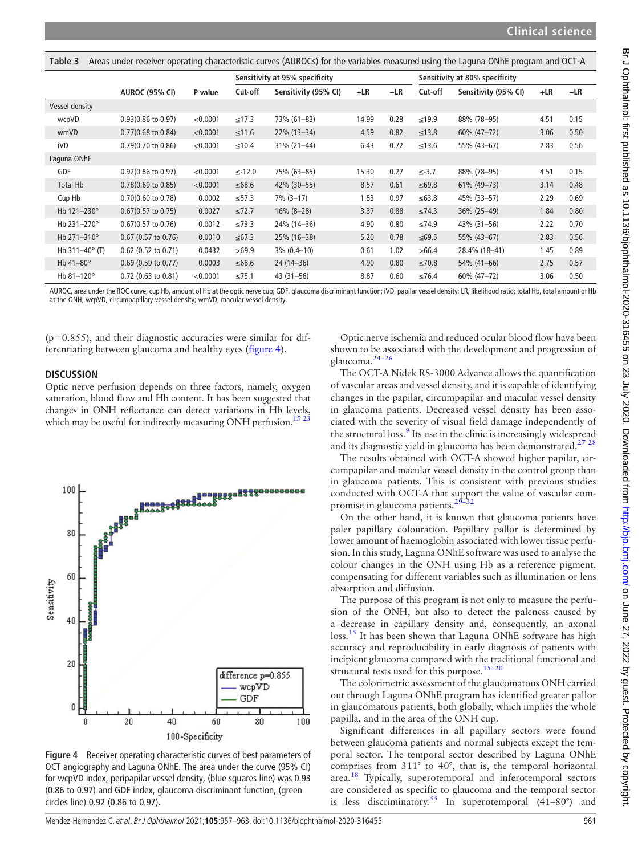| Areas under receiver operating characteristic curves (AUROCs) for the variables measured using the Laguna ONhE program and OCT-A<br>Table 3 |                               |          |                                |                      |       |                                |             |                      |       |       |
|---------------------------------------------------------------------------------------------------------------------------------------------|-------------------------------|----------|--------------------------------|----------------------|-------|--------------------------------|-------------|----------------------|-------|-------|
|                                                                                                                                             |                               |          | Sensitivity at 95% specificity |                      |       | Sensitivity at 80% specificity |             |                      |       |       |
|                                                                                                                                             | <b>AUROC (95% CI)</b>         | P value  | Cut-off                        | Sensitivity (95% CI) | $+LR$ | $-LR$                          | Cut-off     | Sensitivity (95% CI) | $+LR$ | $-LR$ |
| Vessel density                                                                                                                              |                               |          |                                |                      |       |                                |             |                      |       |       |
| wcpVD                                                                                                                                       | $0.93(0.86 \text{ to } 0.97)$ | < 0.0001 | ≤17.3                          | 73% (61-83)          | 14.99 | 0.28                           | $≤19.9$     | 88% (78-95)          | 4.51  | 0.15  |
| wmVD                                                                                                                                        | $0.77(0.68 \text{ to } 0.84)$ | < 0.0001 | $≤11.6$                        | $22\%$ (13-34)       | 4.59  | 0.82                           | $≤13.8$     | 60% (47-72)          | 3.06  | 0.50  |
| iVD                                                                                                                                         | $0.79(0.70 \text{ to } 0.86)$ | < 0.0001 | $≤10.4$                        | 31% (21-44)          | 6.43  | 0.72                           | $≤13.6$     | 55% (43-67)          | 2.83  | 0.56  |
| Laguna ONhE                                                                                                                                 |                               |          |                                |                      |       |                                |             |                      |       |       |
| GDF                                                                                                                                         | $0.92(0.86 \text{ to } 0.97)$ | < 0.0001 | $\leq -12.0$                   | 75% (63-85)          | 15.30 | 0.27                           | $\le$ -3.7  | 88% (78-95)          | 4.51  | 0.15  |
| <b>Total Hb</b>                                                                                                                             | $0.78(0.69 \text{ to } 0.85)$ | < 0.0001 | $≤68.6$                        | 42% (30-55)          | 8.57  | 0.61                           | $≤69.8$     | 61% (49-73)          | 3.14  | 0.48  |
| Cup Hb                                                                                                                                      | $0.70(0.60 \text{ to } 0.78)$ | 0.0002   | $\leq$ 57.3                    | $7\%$ (3-17)         | 1.53  | 0.97                           | $≤63.8$     | 45% (33-57)          | 2.29  | 0.69  |
| Hb 121-230°                                                                                                                                 | $0.67(0.57 \text{ to } 0.75)$ | 0.0027   | $\leq 72.7$                    | $16\%$ (8-28)        | 3.37  | 0.88                           | $\leq$ 74.3 | 36% (25-49)          | 1.84  | 0.80  |
| Hb 231-270°                                                                                                                                 | $0.67(0.57)$ to $0.76$ )      | 0.0012   | $\leq$ 73.3                    | 24% (14-36)          | 4.90  | 0.80                           | $≤74.9$     | 43% (31-56)          | 2.22  | 0.70  |
| Hb 271-310°                                                                                                                                 | $0.67$ (0.57 to 0.76)         | 0.0010   | $≤67.3$                        | 25% (16-38)          | 5.20  | 0.78                           | $≤69.5$     | 55% (43-67)          | 2.83  | 0.56  |
| Hb $311-40^{\circ}$ (T)                                                                                                                     | $0.62$ (0.52 to 0.71)         | 0.0432   | >69.9                          | $3\% (0.4 - 10)$     | 0.61  | 1.02                           | >66.4       | 28.4% (18-41)        | 1.45  | 0.89  |
| Hb $41-80^\circ$                                                                                                                            | $0.69$ (0.59 to 0.77)         | 0.0003   | $≤68.6$                        | $24(14-36)$          | 4.90  | 0.80                           | $≤70.8$     | 54% (41-66)          | 2.75  | 0.57  |
| Hb 81-120°                                                                                                                                  | $0.72$ (0.63 to 0.81)         | < 0.0001 | $≤75.1$                        | $43(31 - 56)$        | 8.87  | 0.60                           | ≤76.4       | 60% (47-72)          | 3.06  | 0.50  |

AUROC, area under the ROC curve; cup Hb, amount of Hb at the optic nerve cup; GDF, glaucoma discriminant function; iVD, papilar vessel density; LR, likelihood ratio; total Hb, total amount of Hb at the ONH; wcpVD, circumpapillary vessel density; wmVD, macular vessel density.

 $(p=0.855)$ , and their diagnostic accuracies were similar for differentiating between glaucoma and healthy eyes (figure 4).

### **DISCUSSION**

Optic nerve perfusion depends on three factors, namely, oxygen saturation, blood flow and Hb content. It has been suggested that changes in ONH reflectance can detect variations in Hb levels, which may be useful for indirectly measuring ONH perfusion.<sup>15 23</sup>



Figure 4 Receiver operating characteristic curves of best parameters of OCT angiography and Laguna ONhE. The area under the curve (95% CI) for wcpVD index, peripapilar vessel density, (blue squares line) was 0.93 (0.86 to 0.97) and GDF index, glaucoma discriminant function, (green circles line) 0.92 (0.86 to 0.97).

Optic nerve ischemia and reduced ocular blood flow have been shown to be associated with the development and progression of glaucoma.24–<sup>26</sup>

The OCT-A Nidek RS-3000 Advance allows the quantification of vascular areas and vessel density, and it is capable of identifying changes in the papilar, circumpapilar and macular vessel density in glaucoma patients. Decreased vessel density has been associated with the severity of visual field damage independently of the structural loss.<sup>9</sup> Its use in the clinic is increasingly widespread and its diagnostic yield in glaucoma has been demonstrated.27 28

The results obtained with OCT-A showed higher papilar, circumpapilar and macular vessel density in the control group than in glaucoma patients. This is consistent with previous studies conducted with OCT-A that support the value of vascular compromise in glaucoma patients.<sup>29–32</sup>

On the other hand, it is known that glaucoma patients have paler papillary colouration. Papillary pallor is determined by lower amount of haemoglobin associated with lower tissue perfusion. In this study, Laguna ONhE software was used to analyse the colour changes in the ONH using Hb as a reference pigment, compensating for different variables such as illumination or lens absorption and diffusion.

The purpose of this program is not only to measure the perfusion of the ONH, but also to detect the paleness caused by a decrease in capillary density and, consequently, an axonal loss.<sup>15</sup> It has been shown that Laguna ONhE software has high accuracy and reproducibility in early diagnosis of patients with incipient glaucoma compared with the traditional functional and structural tests used for this purpose.<sup>15-20</sup>

The colorimetric assessment of the glaucomatous ONH carried out through Laguna ONhE program has identified greater pallor in glaucomatous patients, both globally, which implies the whole papilla, and in the area of the ONH cup.

Significant differences in all papillary sectors were found between glaucoma patients and normal subjects except the temporal sector. The temporal sector described by Laguna ONhE comprises from 311° to 40°, that is, the temporal horizontal area.<sup>18</sup> Typically, superotemporal and inferotemporal sectors are considered as specific to glaucoma and the temporal sector is less discriminatory.<sup>33</sup> In superotemporal  $(41-80^{\circ})$  and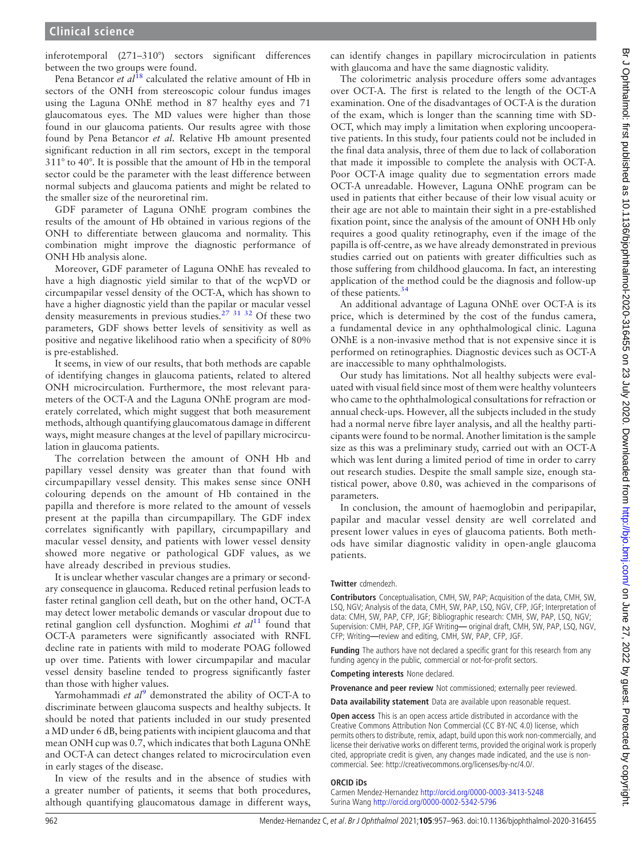inferotemporal (271–310°) sectors significant differences between the two groups were found.

Pena Betancor et  $al^{\hat{1}8}$  calculated the relative amount of Hb in sectors of the ONH from stereoscopic colour fundus images using the Laguna ONhE method in 87 healthy eyes and 71 glaucomatous eyes. The MD values were higher than those found in our glaucoma patients. Our results agree with those found by Pena Betancor et al. Relative Hb amount presented significant reduction in all rim sectors, except in the temporal 311° to 40°. It is possible that the amount of Hb in the temporal sector could be the parameter with the least difference between normal subjects and glaucoma patients and might be related to the smaller size of the neuroretinal rim.

GDF parameter of Laguna ONhE program combines the results of the amount of Hb obtained in various regions of the ONH to differentiate between glaucoma and normality. This combination might improve the diagnostic performance of ONH Hb analysis alone.

Moreover, GDF parameter of Laguna ONhE has revealed to have a high diagnostic yield similar to that of the wcpVD or circumpapilar vessel density of the OCT-A, which has shown to have a higher diagnostic yield than the papilar or macular vessel density measurements in previous studies.27 31 32 Of these two parameters, GDF shows better levels of sensitivity as well as positive and negative likelihood ratio when a specificity of 80% is pre-established.

It seems, in view of our results, that both methods are capable of identifying changes in glaucoma patients, related to altered ONH microcirculation. Furthermore, the most relevant parameters of the OCT-A and the Laguna ONhE program are moderately correlated, which might suggest that both measurement methods, although quantifying glaucomatous damage in different ways, might measure changes at the level of papillary microcirculation in glaucoma patients.

The correlation between the amount of ONH Hb and papillary vessel density was greater than that found with circumpapillary vessel density. This makes sense since ONH colouring depends on the amount of Hb contained in the papilla and therefore is more related to the amount of vessels present at the papilla than circumpapillary. The GDF index correlates significantly with papillary, circumpapillary and macular vessel density, and patients with lower vessel density showed more negative or pathological GDF values, as we have already described in previous studies.

It is unclear whether vascular changes are a primary or secondary consequence in glaucoma. Reduced retinal perfusion leads to faster retinal ganglion cell death, but on the other hand, OCT-A may detect lower metabolic demands or vascular dropout due to retinal ganglion cell dysfunction. Moghimi et  $al<sup>11</sup>$  found that OCT-A parameters were significantly associated with RNFL decline rate in patients with mild to moderate POAG followed up over time. Patients with lower circumpapilar and macular vessel density baseline tended to progress significantly faster than those with higher values.

Yarmohammadi et  $al^9$  demonstrated the ability of OCT-A to discriminate between glaucoma suspects and healthy subjects. It should be noted that patients included in our study presented a MD under 6 dB, being patients with incipient glaucoma and that mean ONH cup was 0.7, which indicates that both Laguna ONhE and OCT-A can detect changes related to microcirculation even in early stages of the disease.

In view of the results and in the absence of studies with a greater number of patients, it seems that both procedures, although quantifying glaucomatous damage in different ways,

can identify changes in papillary microcirculation in patients with glaucoma and have the same diagnostic validity.

The colorimetric analysis procedure offers some advantages over OCT-A. The first is related to the length of the OCT-A examination. One of the disadvantages of OCT-A is the duration of the exam, which is longer than the scanning time with SD-OCT, which may imply a limitation when exploring uncooperative patients. In this study, four patients could not be included in the final data analysis, three of them due to lack of collaboration that made it impossible to complete the analysis with OCT-A. Poor OCT-A image quality due to segmentation errors made OCT-A unreadable. However, Laguna ONhE program can be used in patients that either because of their low visual acuity or their age are not able to maintain their sight in a pre-established fixation point, since the analysis of the amount of ONH Hb only requires a good quality retinography, even if the image of the papilla is off-centre, as we have already demonstrated in previous studies carried out on patients with greater difficulties such as those suffering from childhood glaucoma. In fact, an interesting application of the method could be the diagnosis and follow-up of these patients.<sup>34</sup>

An additional advantage of Laguna ONhE over OCT-A is its price, which is determined by the cost of the fundus camera, a fundamental device in any ophthalmological clinic. Laguna ONhE is a non-invasive method that is not expensive since it is performed on retinographies. Diagnostic devices such as OCT-A are inaccessible to many ophthalmologists.

Our study has limitations. Not all healthy subjects were evaluated with visual field since most of them were healthy volunteers who came to the ophthalmological consultations for refraction or annual check-ups. However, all the subjects included in the study had a normal nerve fibre layer analysis, and all the healthy participants were found to be normal. Another limitation is the sample size as this was a preliminary study, carried out with an OCT-A which was lent during a limited period of time in order to carry out research studies. Despite the small sample size, enough statistical power, above 0.80, was achieved in the comparisons of parameters.

In conclusion, the amount of haemoglobin and peripapilar, papilar and macular vessel density are well correlated and present lower values in eyes of glaucoma patients. Both methods have similar diagnostic validity in open-angle glaucoma patients.

#### Twitter cdmendezh.

Contributors Conceptualisation, CMH, SW, PAP; Acquisition of the data, CMH, SW, LSQ, NGV; Analysis of the data, CMH, SW, PAP, LSQ, NGV, CFP, JGF; Interpretation of data: CMH, SW, PAP, CFP, JGF; Bibliographic research: CMH, SW, PAP, LSQ, NGV; Supervision: CMH, PAP, CFP, JGF Writing— original draft, CMH, SW, PAP, LSQ, NGV, CFP; Writing—review and editing, CMH, SW, PAP, CFP, JGF.

**Funding** The authors have not declared a specific grant for this research from any funding agency in the public, commercial or not-for-profit sectors.

Competing interests None declared.

Provenance and peer review Not commissioned; externally peer reviewed.

Data availability statement Data are available upon reasonable request. Open access This is an open access article distributed in accordance with the Creative Commons Attribution Non Commercial (CC BY-NC 4.0) license, which

permits others to distribute, remix, adapt, build upon this work non-commercially, and license their derivative works on different terms, provided the original work is properly cited, appropriate credit is given, any changes made indicated, and the use is noncommercial. See: http://creativecommons.org/licenses/by-nc/4.0/.

#### ORCID iDs

Carmen Mendez-Hernandez <http://orcid.org/0000-0003-3413-5248> Surina Wang <http://orcid.org/0000-0002-5342-5796>